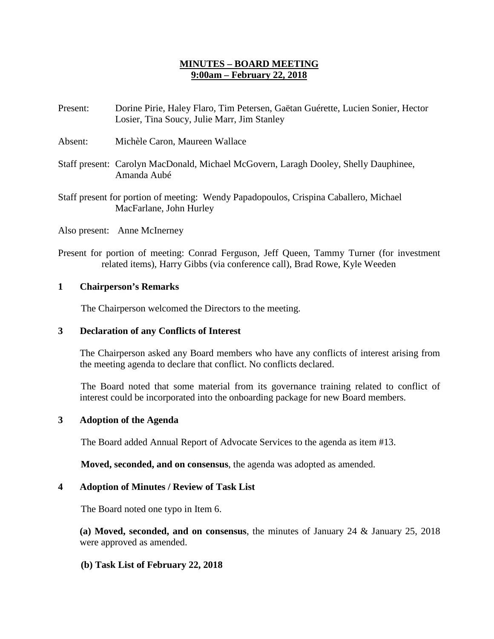## **MINUTES – BOARD MEETING 9:00am – February 22, 2018**

- Present: Dorine Pirie, Haley Flaro, Tim Petersen, Gaëtan Guérette, Lucien Sonier, Hector Losier, Tina Soucy, Julie Marr, Jim Stanley
- Absent: Michèle Caron, Maureen Wallace
- Staff present: Carolyn MacDonald, Michael McGovern, Laragh Dooley, Shelly Dauphinee, Amanda Aubé
- Staff present for portion of meeting: Wendy Papadopoulos, Crispina Caballero, Michael MacFarlane, John Hurley
- Also present: Anne McInerney
- Present for portion of meeting: Conrad Ferguson, Jeff Queen, Tammy Turner (for investment related items), Harry Gibbs (via conference call), Brad Rowe, Kyle Weeden

## **1 Chairperson's Remarks**

The Chairperson welcomed the Directors to the meeting.

## **3 Declaration of any Conflicts of Interest**

The Chairperson asked any Board members who have any conflicts of interest arising from the meeting agenda to declare that conflict. No conflicts declared.

The Board noted that some material from its governance training related to conflict of interest could be incorporated into the onboarding package for new Board members.

## **3 Adoption of the Agenda**

The Board added Annual Report of Advocate Services to the agenda as item #13.

**Moved, seconded, and on consensus**, the agenda was adopted as amended.

## **4 Adoption of Minutes / Review of Task List**

The Board noted one typo in Item 6.

**(a) Moved, seconded, and on consensus**, the minutes of January 24 & January 25, 2018 were approved as amended.

## **(b) Task List of February 22, 2018**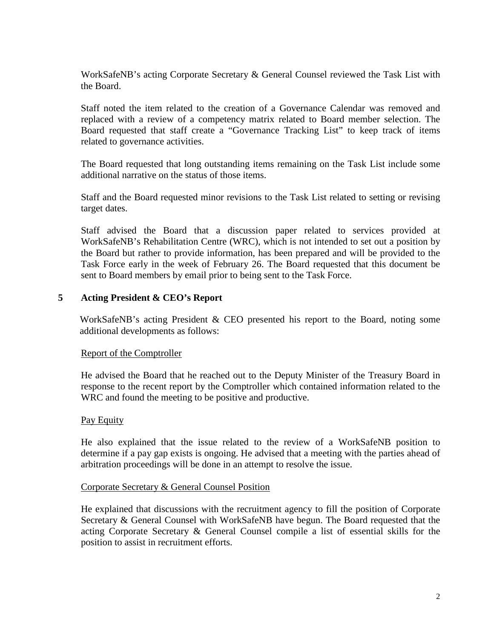WorkSafeNB's acting Corporate Secretary & General Counsel reviewed the Task List with the Board.

Staff noted the item related to the creation of a Governance Calendar was removed and replaced with a review of a competency matrix related to Board member selection. The Board requested that staff create a "Governance Tracking List" to keep track of items related to governance activities.

The Board requested that long outstanding items remaining on the Task List include some additional narrative on the status of those items.

Staff and the Board requested minor revisions to the Task List related to setting or revising target dates.

Staff advised the Board that a discussion paper related to services provided at WorkSafeNB's Rehabilitation Centre (WRC), which is not intended to set out a position by the Board but rather to provide information, has been prepared and will be provided to the Task Force early in the week of February 26. The Board requested that this document be sent to Board members by email prior to being sent to the Task Force.

## **5 Acting President & CEO's Report**

WorkSafeNB's acting President & CEO presented his report to the Board, noting some additional developments as follows:

#### Report of the Comptroller

He advised the Board that he reached out to the Deputy Minister of the Treasury Board in response to the recent report by the Comptroller which contained information related to the WRC and found the meeting to be positive and productive.

#### Pay Equity

He also explained that the issue related to the review of a WorkSafeNB position to determine if a pay gap exists is ongoing. He advised that a meeting with the parties ahead of arbitration proceedings will be done in an attempt to resolve the issue.

#### Corporate Secretary & General Counsel Position

He explained that discussions with the recruitment agency to fill the position of Corporate Secretary & General Counsel with WorkSafeNB have begun. The Board requested that the acting Corporate Secretary & General Counsel compile a list of essential skills for the position to assist in recruitment efforts.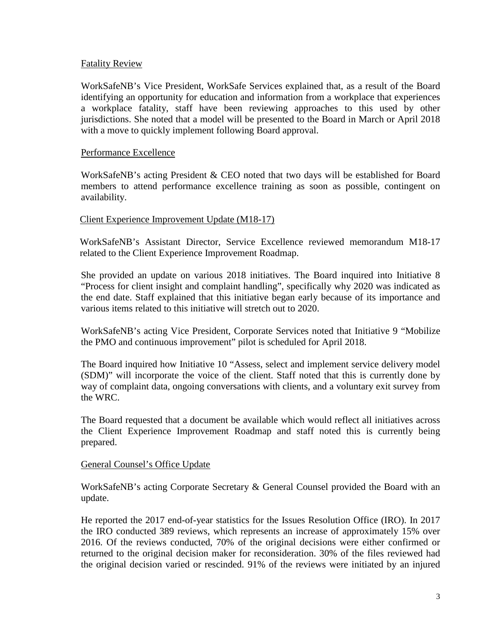### Fatality Review

WorkSafeNB's Vice President, WorkSafe Services explained that, as a result of the Board identifying an opportunity for education and information from a workplace that experiences a workplace fatality, staff have been reviewing approaches to this used by other jurisdictions. She noted that a model will be presented to the Board in March or April 2018 with a move to quickly implement following Board approval.

#### Performance Excellence

WorkSafeNB's acting President & CEO noted that two days will be established for Board members to attend performance excellence training as soon as possible, contingent on availability.

## Client Experience Improvement Update (M18-17)

WorkSafeNB's Assistant Director, Service Excellence reviewed memorandum M18-17 related to the Client Experience Improvement Roadmap.

She provided an update on various 2018 initiatives. The Board inquired into Initiative 8 "Process for client insight and complaint handling", specifically why 2020 was indicated as the end date. Staff explained that this initiative began early because of its importance and various items related to this initiative will stretch out to 2020.

WorkSafeNB's acting Vice President, Corporate Services noted that Initiative 9 "Mobilize the PMO and continuous improvement" pilot is scheduled for April 2018.

The Board inquired how Initiative 10 "Assess, select and implement service delivery model (SDM)" will incorporate the voice of the client. Staff noted that this is currently done by way of complaint data, ongoing conversations with clients, and a voluntary exit survey from the WRC.

The Board requested that a document be available which would reflect all initiatives across the Client Experience Improvement Roadmap and staff noted this is currently being prepared.

#### General Counsel's Office Update

WorkSafeNB's acting Corporate Secretary & General Counsel provided the Board with an update.

He reported the 2017 end-of-year statistics for the Issues Resolution Office (IRO). In 2017 the IRO conducted 389 reviews, which represents an increase of approximately 15% over 2016. Of the reviews conducted, 70% of the original decisions were either confirmed or returned to the original decision maker for reconsideration. 30% of the files reviewed had the original decision varied or rescinded. 91% of the reviews were initiated by an injured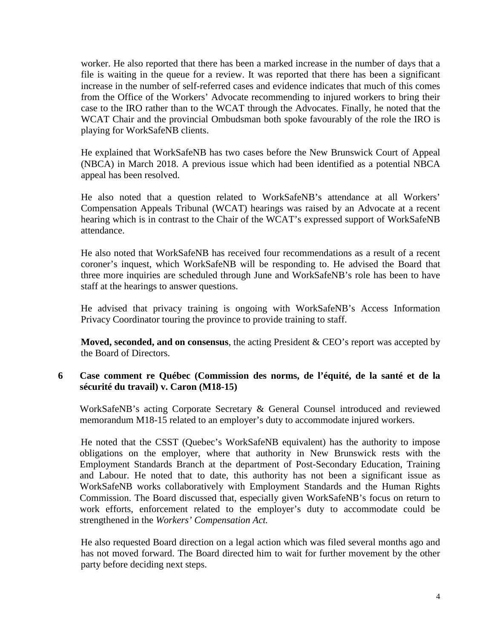worker. He also reported that there has been a marked increase in the number of days that a file is waiting in the queue for a review. It was reported that there has been a significant increase in the number of self-referred cases and evidence indicates that much of this comes from the Office of the Workers' Advocate recommending to injured workers to bring their case to the IRO rather than to the WCAT through the Advocates. Finally, he noted that the WCAT Chair and the provincial Ombudsman both spoke favourably of the role the IRO is playing for WorkSafeNB clients.

He explained that WorkSafeNB has two cases before the New Brunswick Court of Appeal (NBCA) in March 2018. A previous issue which had been identified as a potential NBCA appeal has been resolved.

He also noted that a question related to WorkSafeNB's attendance at all Workers' Compensation Appeals Tribunal (WCAT) hearings was raised by an Advocate at a recent hearing which is in contrast to the Chair of the WCAT's expressed support of WorkSafeNB attendance.

He also noted that WorkSafeNB has received four recommendations as a result of a recent coroner's inquest, which WorkSafeNB will be responding to. He advised the Board that three more inquiries are scheduled through June and WorkSafeNB's role has been to have staff at the hearings to answer questions.

He advised that privacy training is ongoing with WorkSafeNB's Access Information Privacy Coordinator touring the province to provide training to staff.

**Moved, seconded, and on consensus**, the acting President & CEO's report was accepted by the Board of Directors.

## **6 Case comment re Québec (Commission des norms, de l'équité, de la santé et de la sécurité du travail) v. Caron (M18-15)**

WorkSafeNB's acting Corporate Secretary & General Counsel introduced and reviewed memorandum M18-15 related to an employer's duty to accommodate injured workers.

He noted that the CSST (Quebec's WorkSafeNB equivalent) has the authority to impose obligations on the employer, where that authority in New Brunswick rests with the Employment Standards Branch at the department of Post-Secondary Education, Training and Labour. He noted that to date, this authority has not been a significant issue as WorkSafeNB works collaboratively with Employment Standards and the Human Rights Commission. The Board discussed that, especially given WorkSafeNB's focus on return to work efforts, enforcement related to the employer's duty to accommodate could be strengthened in the *Workers' Compensation Act.*

He also requested Board direction on a legal action which was filed several months ago and has not moved forward. The Board directed him to wait for further movement by the other party before deciding next steps.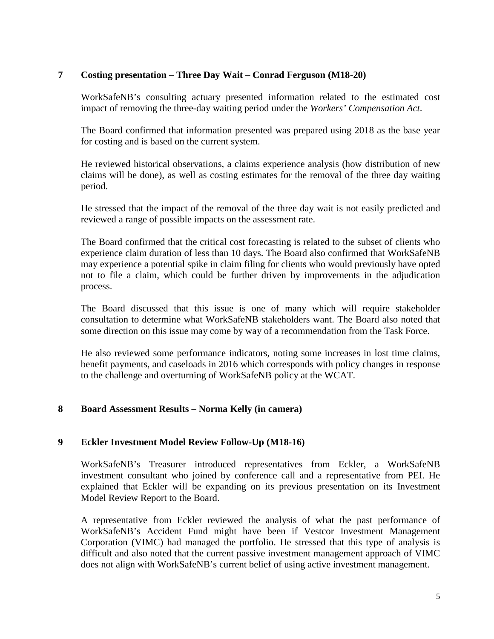## **7 Costing presentation – Three Day Wait – Conrad Ferguson (M18-20)**

WorkSafeNB's consulting actuary presented information related to the estimated cost impact of removing the three-day waiting period under the *Workers' Compensation Act*.

The Board confirmed that information presented was prepared using 2018 as the base year for costing and is based on the current system.

He reviewed historical observations, a claims experience analysis (how distribution of new claims will be done), as well as costing estimates for the removal of the three day waiting period.

He stressed that the impact of the removal of the three day wait is not easily predicted and reviewed a range of possible impacts on the assessment rate.

The Board confirmed that the critical cost forecasting is related to the subset of clients who experience claim duration of less than 10 days. The Board also confirmed that WorkSafeNB may experience a potential spike in claim filing for clients who would previously have opted not to file a claim, which could be further driven by improvements in the adjudication process.

The Board discussed that this issue is one of many which will require stakeholder consultation to determine what WorkSafeNB stakeholders want. The Board also noted that some direction on this issue may come by way of a recommendation from the Task Force.

He also reviewed some performance indicators, noting some increases in lost time claims, benefit payments, and caseloads in 2016 which corresponds with policy changes in response to the challenge and overturning of WorkSafeNB policy at the WCAT.

## **8 Board Assessment Results – Norma Kelly (in camera)**

## **9 Eckler Investment Model Review Follow-Up (M18-16)**

WorkSafeNB's Treasurer introduced representatives from Eckler, a WorkSafeNB investment consultant who joined by conference call and a representative from PEI. He explained that Eckler will be expanding on its previous presentation on its Investment Model Review Report to the Board.

A representative from Eckler reviewed the analysis of what the past performance of WorkSafeNB's Accident Fund might have been if Vestcor Investment Management Corporation (VIMC) had managed the portfolio. He stressed that this type of analysis is difficult and also noted that the current passive investment management approach of VIMC does not align with WorkSafeNB's current belief of using active investment management.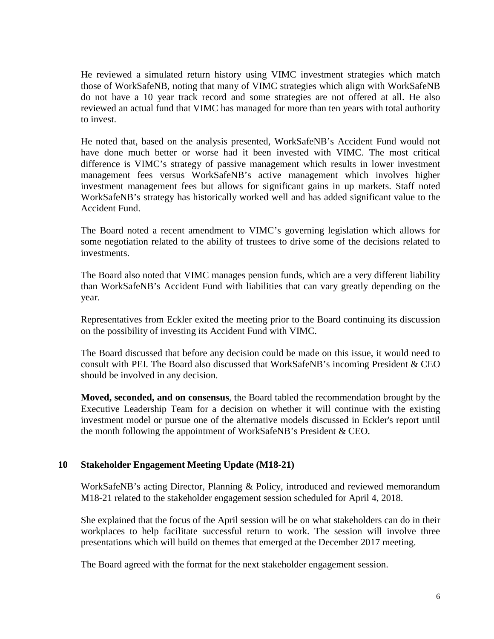He reviewed a simulated return history using VIMC investment strategies which match those of WorkSafeNB, noting that many of VIMC strategies which align with WorkSafeNB do not have a 10 year track record and some strategies are not offered at all. He also reviewed an actual fund that VIMC has managed for more than ten years with total authority to invest.

He noted that, based on the analysis presented, WorkSafeNB's Accident Fund would not have done much better or worse had it been invested with VIMC. The most critical difference is VIMC's strategy of passive management which results in lower investment management fees versus WorkSafeNB's active management which involves higher investment management fees but allows for significant gains in up markets. Staff noted WorkSafeNB's strategy has historically worked well and has added significant value to the Accident Fund.

The Board noted a recent amendment to VIMC's governing legislation which allows for some negotiation related to the ability of trustees to drive some of the decisions related to investments.

The Board also noted that VIMC manages pension funds, which are a very different liability than WorkSafeNB's Accident Fund with liabilities that can vary greatly depending on the year.

Representatives from Eckler exited the meeting prior to the Board continuing its discussion on the possibility of investing its Accident Fund with VIMC.

The Board discussed that before any decision could be made on this issue, it would need to consult with PEI. The Board also discussed that WorkSafeNB's incoming President & CEO should be involved in any decision.

**Moved, seconded, and on consensus**, the Board tabled the recommendation brought by the Executive Leadership Team for a decision on whether it will continue with the existing investment model or pursue one of the alternative models discussed in Eckler's report until the month following the appointment of WorkSafeNB's President & CEO.

## **10 Stakeholder Engagement Meeting Update (M18-21)**

WorkSafeNB's acting Director, Planning & Policy, introduced and reviewed memorandum M18-21 related to the stakeholder engagement session scheduled for April 4, 2018.

She explained that the focus of the April session will be on what stakeholders can do in their workplaces to help facilitate successful return to work. The session will involve three presentations which will build on themes that emerged at the December 2017 meeting.

The Board agreed with the format for the next stakeholder engagement session.